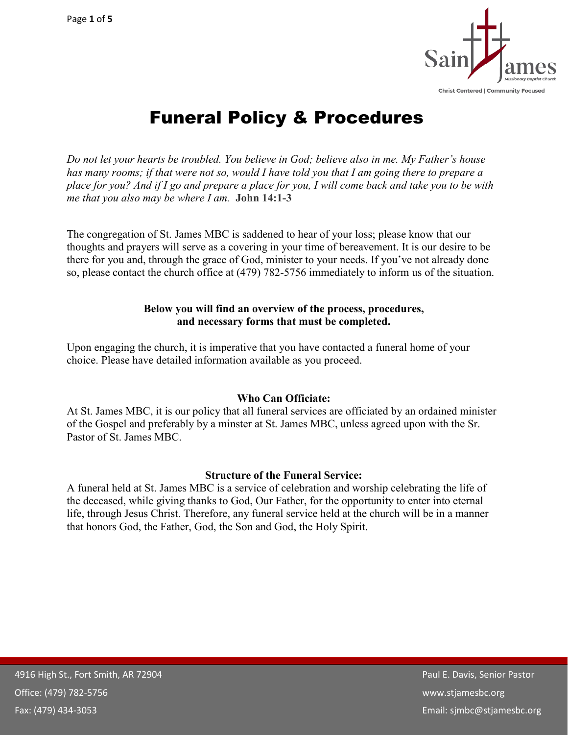

# Funeral Policy & Procedures

*Do not let your hearts be troubled. You believe in God; believe also in me. My Father's house* has many rooms; if that were not so, would I have told you that I am going there to prepare a place for you? And if I go and prepare a place for you, I will come back and take you to be with *me that you also may be where I am.* **John 14:1-3**

The congregation of St. James MBC is saddened to hear of your loss; please know that our thoughts and prayers will serve as a covering in your time of bereavement. It is our desire to be there for you and, through the grace of God, minister to your needs. If you've not already done so, please contact the church office at (479) 782-5756 immediately to inform us of the situation.

#### **Below you will find an overview of the process, procedures, and necessary forms that must be completed.**

Upon engaging the church, it is imperative that you have contacted a funeral home of your choice. Please have detailed information available as you proceed.

## **Who Can Officiate:**

At St. James MBC, it is our policy that all funeral services are officiated by an ordained minister of the Gospel and preferably by a minster at St. James MBC, unless agreed upon with the Sr. Pastor of St. James MBC.

#### **Structure of the Funeral Service:**

A funeral held at St. James MBC is a service of celebration and worship celebrating the life of the deceased, while giving thanks to God, Our Father, for the opportunity to enter into eternal life, through Jesus Christ. Therefore, any funeral service held at the church will be in a manner that honors God, the Father, God, the Son and God, the Holy Spirit.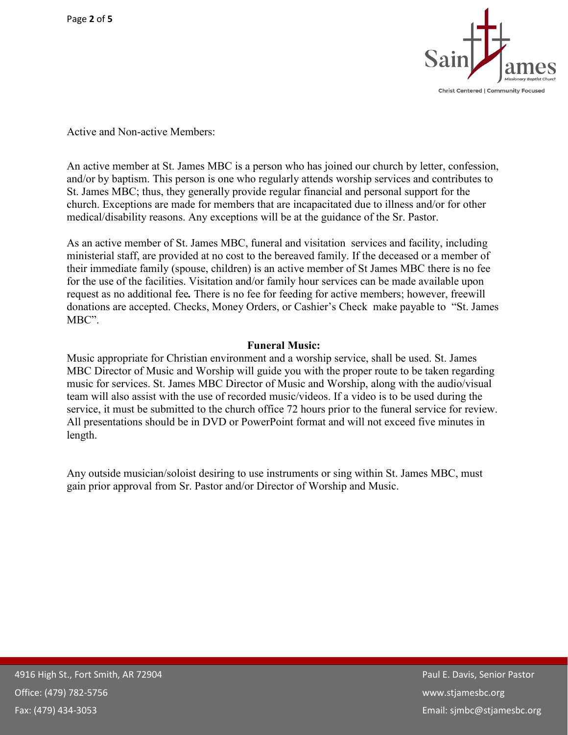

Active and Non-active Members:

An active member at St. James MBC is a person who has joined our church by letter, confession, and/or by baptism. This person is one who regularly attends worship services and contributes to St. James MBC; thus, they generally provide regular financial and personal support for the church. Exceptions are made for members that are incapacitated due to illness and/or for other medical/disability reasons. Any exceptions will be at the guidance of the Sr. Pastor.

As an active member of St. James MBC, funeral and visitation services and facility, including ministerial staff, are provided at no cost to the bereaved family. If the deceased or a member of their immediate family (spouse, children) is an active member of St James MBC there is no fee for the use of the facilities. Visitation and/or family hour services can be made available upon request as no additional fee*.* There is no fee for feeding for active members; however, freewill donations are accepted. Checks, Money Orders, or Cashier's Check make payable to "St. James MBC".

#### **Funeral Music:**

Music appropriate for Christian environment and a worship service, shall be used. St. James MBC Director of Music and Worship will guide you with the proper route to be taken regarding music for services. St. James MBC Director of Music and Worship, along with the audio/visual team will also assist with the use of recorded music/videos. If a video is to be used during the service, it must be submitted to the church office 72 hours prior to the funeral service for review. All presentations should be in DVD or PowerPoint format and will not exceed five minutes in length.

Any outside musician/soloist desiring to use instruments or sing within St. James MBC, must gain prior approval from Sr. Pastor and/or Director of Worship and Music.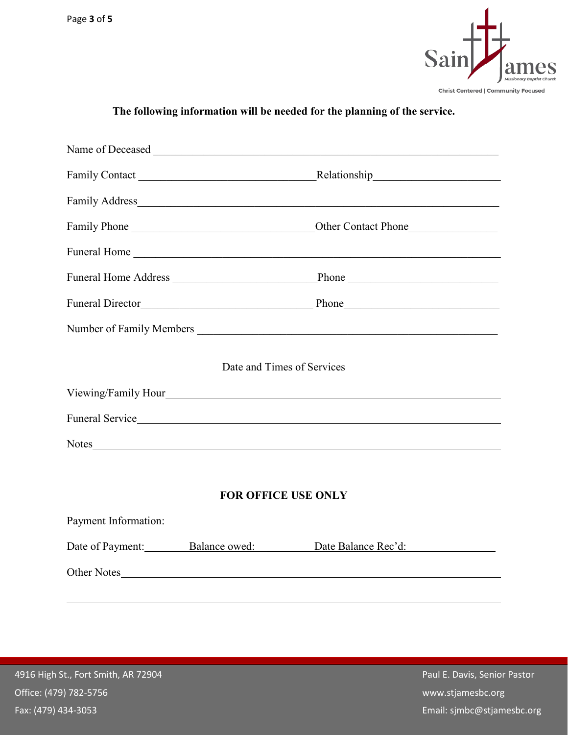

## **The following information will be needed for the planning of the service.**

| Date and Times of Services |                                |                     |  |
|----------------------------|--------------------------------|---------------------|--|
|                            |                                |                     |  |
|                            |                                | Funeral Service     |  |
|                            | Notes                          |                     |  |
|                            |                                |                     |  |
| <b>FOR OFFICE USE ONLY</b> |                                |                     |  |
| Payment Information:       |                                |                     |  |
|                            | Date of Payment: Balance owed: | Date Balance Rec'd: |  |
| Other Notes                |                                |                     |  |
|                            |                                |                     |  |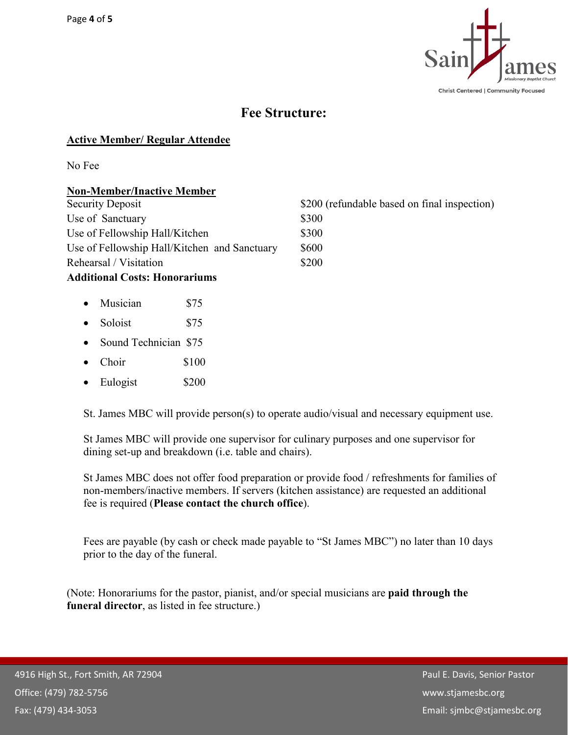

## **Fee Structure:**

## **Active Member/ Regular Attendee**

No Fee

## **Non-Member/Inactive Member**

| Security Deposit                             | \$200 (refundable based on final inspection) |
|----------------------------------------------|----------------------------------------------|
| Use of Sanctuary                             | \$300                                        |
| Use of Fellowship Hall/Kitchen               | \$300                                        |
| Use of Fellowship Hall/Kitchen and Sanctuary | \$600                                        |
| Rehearsal / Visitation                       | \$200                                        |
|                                              |                                              |

## **Additional Costs: Honorariums**

- Musician \$75
- Soloist \$75
- Sound Technician \$75
- Choir \$100
- Eulogist \$200

St. James MBC will provide person(s) to operate audio/visual and necessary equipment use.

St James MBC will provide one supervisor for culinary purposes and one supervisor for dining set-up and breakdown (i.e. table and chairs).

St James MBC does not offer food preparation or provide food / refreshments for families of non-members/inactive members. If servers (kitchen assistance) are requested an additional fee is required (**Please contact the church office**).

Fees are payable (by cash or check made payable to "St James MBC") no later than 10 days prior to the day of the funeral.

(Note: Honorariums for the pastor, pianist, and/or special musicians are **paid through the funeral director**, as listed in fee structure.)